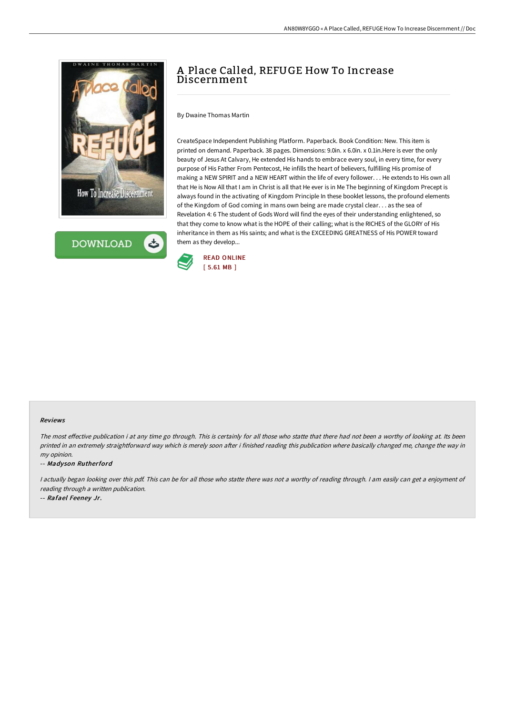



# A Place Called, REFUGE How To Increase Discernment

By Dwaine Thomas Martin

CreateSpace Independent Publishing Platform. Paperback. Book Condition: New. This item is printed on demand. Paperback. 38 pages. Dimensions: 9.0in. x 6.0in. x 0.1in.Here is ever the only beauty of Jesus At Calvary, He extended His hands to embrace every soul, in every time, for every purpose of His Father From Pentecost, He infills the heart of believers, fulfilling His promise of making a NEW SPIRIT and a NEW HEART within the life of every follower. . . He extends to His own all that He is Now All that I am in Christ is all that He ever is in Me The beginning of Kingdom Precept is always found in the activating of Kingdom Principle In these booklet lessons, the profound elements of the Kingdom of God coming in mans own being are made crystal clear. . . as the sea of Revelation 4: 6 The student of Gods Word will find the eyes of their understanding enlightened, so that they come to know what is the HOPE of their calling; what is the RICHES of the GLORY of His inheritance in them as His saints; and what is the EXCEEDING GREATNESS of His POWER toward them as they develop...



#### Reviews

The most effective publication i at any time go through. This is certainly for all those who statte that there had not been a worthy of looking at. Its been printed in an extremely straightforward way which is merely soon after i finished reading this publication where basically changed me, change the way in my opinion.

-- Madyson Rutherford

<sup>I</sup> actually began looking over this pdf. This can be for all those who statte there was not <sup>a</sup> worthy of reading through. <sup>I</sup> am easily can get <sup>a</sup> enjoyment of reading through <sup>a</sup> written publication.

-- Rafael Feeney Jr.